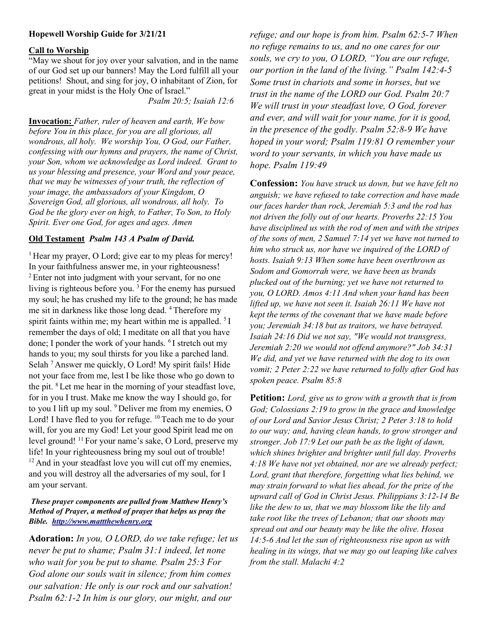## Hopewell Worship Guide for 3/21/21

## Call to Worship

"May we shout for joy over your salvation, and in the name of our God set up our banners! May the Lord fulfill all your petitions! Shout, and sing for joy, O inhabitant of Zion, for great in your midst is the Holy One of Israel."

Psalm 20:5; Isaiah 12:6

Invocation: Father, ruler of heaven and earth, We bow before You in this place, for you are all glorious, all wondrous, all holy. We worship You, O God, our Father, confessing with our hymns and prayers, the name of Christ, your Son, whom we acknowledge as Lord indeed. Grant to us your blessing and presence, your Word and your peace, that we may be witnesses of your truth, the reflection of your image, the ambassadors of your Kingdom, O Sovereign God, all glorious, all wondrous, all holy. To God be the glory ever on high, to Father, To Son, to Holy Spirit. Ever one God, for ages and ages. Amen

## Old Testament Psalm 143 A Psalm of David.

 $<sup>1</sup>$  Hear my prayer, O Lord; give ear to my pleas for mercy!</sup> In your faithfulness answer me, in your righteousness! <sup>2</sup> Enter not into judgment with your servant, for no one living is righteous before you. <sup>3</sup>For the enemy has pursued my soul; he has crushed my life to the ground; he has made me sit in darkness like those long dead. <sup>4</sup>Therefore my spirit faints within me; my heart within me is appalled.  $5I$ remember the days of old; I meditate on all that you have done; I ponder the work of your hands. <sup>6</sup>I stretch out my hands to you; my soul thirsts for you like a parched land. Selah<sup>7</sup> Answer me quickly, O Lord! My spirit fails! Hide not your face from me, lest I be like those who go down to the pit. <sup>8</sup>Let me hear in the morning of your steadfast love, for in you I trust. Make me know the way I should go, for to you I lift up my soul. <sup>9</sup> Deliver me from my enemies, O Lord! I have fled to you for refuge. <sup>10</sup> Teach me to do your will, for you are my God! Let your good Spirit lead me on level ground! <sup>11</sup> For your name's sake, O Lord, preserve my life! In your righteousness bring my soul out of trouble! <sup>12</sup> And in your steadfast love you will cut off my enemies, and you will destroy all the adversaries of my soul, for I am your servant.

## These prayer components are pulled from Matthew Henry's Method of Prayer, a method of prayer that helps us pray the Bible. http://www.mattthewhenry.org

Adoration: In you, O LORD, do we take refuge; let us never be put to shame; Psalm 31:1 indeed, let none who wait for you be put to shame. Psalm 25:3 For God alone our souls wait in silence; from him comes our salvation: He only is our rock and our salvation! Psalm 62:1-2 In him is our glory, our might, and our

refuge; and our hope is from him. Psalm 62:5-7 When no refuge remains to us, and no one cares for our souls, we cry to you, O LORD, "You are our refuge, our portion in the land of the living." Psalm 142:4-5 Some trust in chariots and some in horses, but we trust in the name of the LORD our God. Psalm 20:7 We will trust in your steadfast love, O God, forever and ever, and will wait for your name, for it is good, in the presence of the godly. Psalm 52:8-9 We have hoped in your word; Psalm 119:81 O remember your word to your servants, in which you have made us hope. Psalm 119:49

Confession: You have struck us down, but we have felt no anguish; we have refused to take correction and have made our faces harder than rock, Jeremiah 5:3 and the rod has not driven the folly out of our hearts. Proverbs 22:15 You have disciplined us with the rod of men and with the stripes of the sons of men, 2 Samuel 7:14 yet we have not turned to him who struck us, nor have we inquired of the LORD of hosts. Isaiah 9:13 When some have been overthrown as Sodom and Gomorrah were, we have been as brands plucked out of the burning; yet we have not returned to you, O LORD. Amos 4:11 And when your hand has been lifted up, we have not seen it. Isaiah 26:11 We have not kept the terms of the covenant that we have made before you; Jeremiah 34:18 but as traitors, we have betrayed. Isaiah 24:16 Did we not say, "We would not transgress, Jeremiah 2:20 we would not offend anymore?" Job 34:31 We did, and yet we have returned with the dog to its own vomit; 2 Peter 2:22 we have returned to folly after God has spoken peace. Psalm 85:8

Petition: Lord, give us to grow with a growth that is from God; Colossians 2:19 to grow in the grace and knowledge of our Lord and Savior Jesus Christ; 2 Peter 3:18 to hold to our way; and, having clean hands, to grow stronger and stronger. Job 17:9 Let our path be as the light of dawn, which shines brighter and brighter until full day. Proverbs 4:18 We have not yet obtained, nor are we already perfect; Lord, grant that therefore, forgetting what lies behind, we may strain forward to what lies ahead, for the prize of the upward call of God in Christ Jesus. Philippians 3:12-14 Be like the dew to us, that we may blossom like the lily and take root like the trees of Lebanon; that our shoots may spread out and our beauty may be like the olive. Hosea 14:5-6 And let the sun of righteousness rise upon us with healing in its wings, that we may go out leaping like calves from the stall. Malachi 4:2